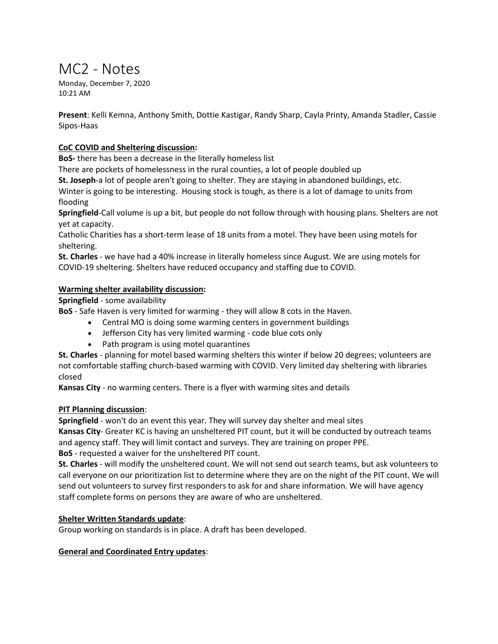# MC2 - Notes

Monday, December 7, 2020 10:21 AM

**Present**: Kelli Kemna, Anthony Smith, Dottie Kastigar, Randy Sharp, Cayla Printy, Amanda Stadler, Cassie Sipos-Haas

## **CoC COVID and Sheltering discussion:**

**BoS-** there has been a decrease in the literally homeless list

There are pockets of homelessness in the rural counties, a lot of people doubled up

**St. Joseph**-a lot of people aren't going to shelter. They are staying in abandoned buildings, etc.

Winter is going to be interesting. Housing stock is tough, as there is a lot of damage to units from flooding

**Springfield**-Call volume is up a bit, but people do not follow through with housing plans. Shelters are not yet at capacity.

Catholic Charities has a short-term lease of 18 units from a motel. They have been using motels for sheltering.

**St. Charles** - we have had a 40% increase in literally homeless since August. We are using motels for COVID-19 sheltering. Shelters have reduced occupancy and staffing due to COVID.

### **Warming shelter availability discussion:**

**Springfield** - some availability

**BoS** - Safe Haven is very limited for warming - they will allow 8 cots in the Haven.

- Central MO is doing some warming centers in government buildings
- Jefferson City has very limited warming code blue cots only
- Path program is using motel quarantines

**St. Charles** - planning for motel based warming shelters this winter if below 20 degrees; volunteers are not comfortable staffing church-based warming with COVID. Very limited day sheltering with libraries closed

**Kansas City** - no warming centers. There is a flyer with warming sites and details

### **PIT Planning discussion**:

**Springfield** - won't do an event this year. They will survey day shelter and meal sites

**Kansas City**- Greater KC is having an unsheltered PIT count, but it will be conducted by outreach teams and agency staff. They will limit contact and surveys. They are training on proper PPE.

**BoS** - requested a waiver for the unsheltered PIT count.

**St. Charles** - will modify the unsheltered count. We will not send out search teams, but ask volunteers to call everyone on our prioritization list to determine where they are on the night of the PIT count. We will send out volunteers to survey first responders to ask for and share information. We will have agency staff complete forms on persons they are aware of who are unsheltered.

### **Shelter Written Standards update**:

Group working on standards is in place. A draft has been developed.

#### **General and Coordinated Entry updates**: